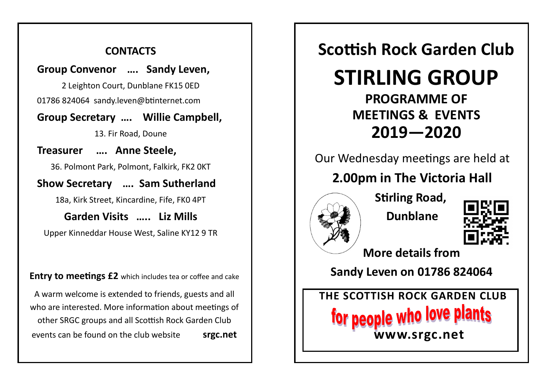### **CONTACTS**

#### **Group Convenor …. Sandy Leven,**

2 Leighton Court, Dunblane FK15 0ED

01786 824064 sandy.leven@btinternet.com

### **Group Secretary …. Willie Campbell,**

13. Fir Road, Doune

**Treasurer …. Anne Steele,** 

36. Polmont Park, Polmont, Falkirk, FK2 0KT

### **Show Secretary …. Sam Sutherland**

18a, Kirk Street, Kincardine, Fife, FK0 4PT

**Garden Visits ….. Liz Mills** Upper Kinneddar House West, Saline KY12 9 TR

**Entry to meetings £2** which includes tea or coffee and cake

A warm welcome is extended to friends, guests and all who are interested. More information about meetings of

other SRGC groups and all Scottish Rock Garden Club events can be found on the club website **srgc.net**

# **Scottish Rock Garden Club**

# **STIRLING GROUP**

# **PROGRAMME OF MEETINGS & EVENTS 2019—2020**

### Our Wednesday meetings are held at

## **2.00pm in The Victoria Hall**



**Stirling Road, Dunblane**



**More details from** 

**Sandy Leven on 01786 824064**

**THE SCOTTISH ROCK GARDEN CLUB** for people who love p **www.srgc.net**